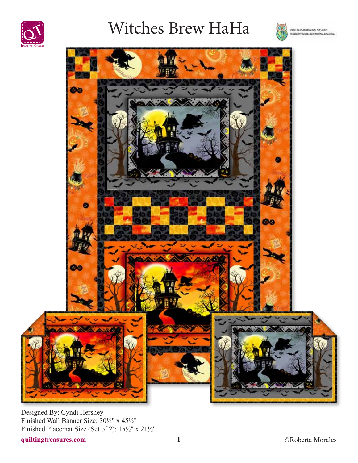

# Witches Brew HaHa





Designed By: Cyndi Hershey Finished Wall Banner Size: 30½" x 45½" Finished Placemat Size (Set of 2): 15½" x 21½"

**quiltingtreasures.com 1** ©Roberta Morales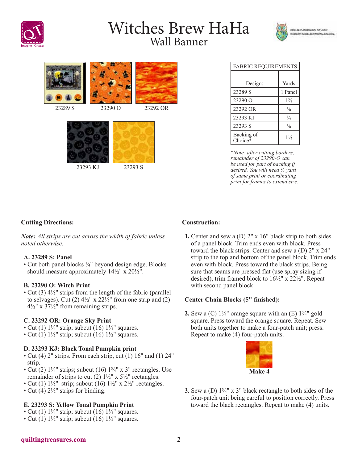

# Witches Brew HaHa Wall Banner







| <b>FABRIC REQUIREMENTS</b> |                |
|----------------------------|----------------|
|                            |                |
| Design:                    | Yards          |
| 23289 S                    | 1 Panel        |
| 23290 Q                    | $1\frac{3}{8}$ |
| 23292 OR                   | $\frac{1}{8}$  |
| 23293 KJ                   | $\frac{3}{4}$  |
| 23293 S                    | $\frac{1}{8}$  |
| Backing of<br>Choice*      | $1\frac{1}{2}$ |

\**Note: after cutting borders, remainder of 23290-O can be used for part of backing if desired. You will need ½ yard of same print or coordinating print for frames to extend size.*

# **Cutting Directions:**

*Note: All strips are cut across the width of fabric unless noted otherwise.*

### **A. 23289 S: Panel**

• Cut both panel blocks ¼" beyond design edge. Blocks should measure approximately 14½" x 20½".

### **B. 23290 O: Witch Print**

• Cut (3)  $4\frac{1}{2}$ " strips from the length of the fabric (parallel to selvages). Cut  $(2)$  4½" x 22½" from one strip and  $(2)$  $4\frac{1}{2}$ " x  $37\frac{1}{2}$ " from remaining strips.

### **C. 23292 OR: Orange Sky Print**

- Cut (1)  $1\frac{3}{4}$ " strip; subcut (16)  $1\frac{3}{4}$ " squares.
- Cut (1)  $1\frac{1}{2}$ " strip; subcut (16)  $1\frac{1}{2}$ " squares.

### **D. 23293 KJ: Black Tonal Pumpkin print**

- Cut (4) 2" strips. From each strip, cut (1) 16" and (1) 24" strip.
- Cut (2)  $1\frac{3}{4}$ " strips; subcut (16)  $1\frac{3}{4}$ " x 3" rectangles. Use remainder of strips to cut (2)  $1\frac{1}{2}$ " x  $5\frac{1}{2}$ " rectangles.
- Cut (1)  $1\frac{1}{2}$ " strip; subcut (16)  $1\frac{1}{2}$ " x  $2\frac{1}{2}$ " rectangles.
- Cut (4)  $2\frac{1}{2}$ " strips for binding.

# **E. 23293 S: Yellow Tonal Pumpkin Print**

- Cut (1)  $1\frac{3}{4}$ " strip; subcut (16)  $1\frac{3}{4}$ " squares.
- Cut (1)  $1\frac{1}{2}$ " strip; subcut (16)  $1\frac{1}{2}$ " squares.

# **Construction:**

**1.** Center and sew a (D) 2" x 16" black strip to both sides of a panel block. Trim ends even with block. Press toward the black strips. Center and sew a (D) 2" x 24" strip to the top and bottom of the panel block. Trim ends even with block. Press toward the black strips. Being sure that seams are pressed flat (use spray sizing if desired), trim framed block to 16½" x 22½". Repeat with second panel block.

# **Center Chain Blocks (5" finished):**

**2.** Sew a (C)  $1\frac{3}{4}$ " orange square with an (E)  $1\frac{3}{4}$ " gold square. Press toward the orange square. Repeat. Sew both units together to make a four-patch unit; press. Repeat to make (4) four-patch units.



**3.** Sew a (D) 1¾" x 3" black rectangle to both sides of the four-patch unit being careful to position correctly. Press toward the black rectangles. Repeat to make (4) units.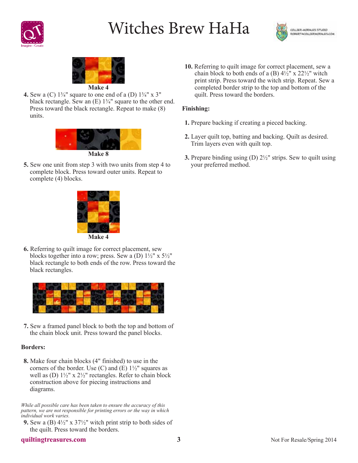

# Witches Brew HaHa





**4.** Sew a (C)  $1\frac{3}{4}$ " square to one end of a (D)  $1\frac{3}{4}$ " x 3" black rectangle. Sew an  $(E)$  1<sup>3</sup>/<sub>4</sub>" square to the other end. Press toward the black rectangle. Repeat to make (8) units.



**5.** Sew one unit from step 3 with two units from step 4 to complete block. Press toward outer units. Repeat to complete (4) blocks.



**6.** Referring to quilt image for correct placement, sew blocks together into a row; press. Sew a (D)  $1\frac{1}{2}$ " x  $5\frac{1}{2}$ " black rectangle to both ends of the row. Press toward the black rectangles.



**7.** Sew a framed panel block to both the top and bottom of the chain block unit. Press toward the panel blocks.

### **Borders:**

**8.** Make four chain blocks (4" finished) to use in the corners of the border. Use  $(C)$  and  $(E)$  1<sup>1</sup>/<sub>2</sub>" squares as well as (D)  $1\frac{1}{2}$ " x  $2\frac{1}{2}$ " rectangles. Refer to chain block construction above for piecing instructions and diagrams.

*While all possible care has been taken to ensure the accuracy of this pattern, we are not responsible for printing errors or the way in which individual work varies.*

**9.** Sew a (B) 4½" x 37½" witch print strip to both sides of the quilt. Press toward the borders.

**10.** Referring to quilt image for correct placement, sew a chain block to both ends of a  $(B)$  4½" x 22½" witch print strip. Press toward the witch strip. Repeat. Sew a completed border strip to the top and bottom of the quilt. Press toward the borders.

### **Finishing:**

- **1.** Prepare backing if creating a pieced backing.
- **2.** Layer quilt top, batting and backing. Quilt as desired. Trim layers even with quilt top.
- **3.** Prepare binding using (D) 2½" strips. Sew to quilt using your preferred method.

#### **quiltingtreasures.com 3**